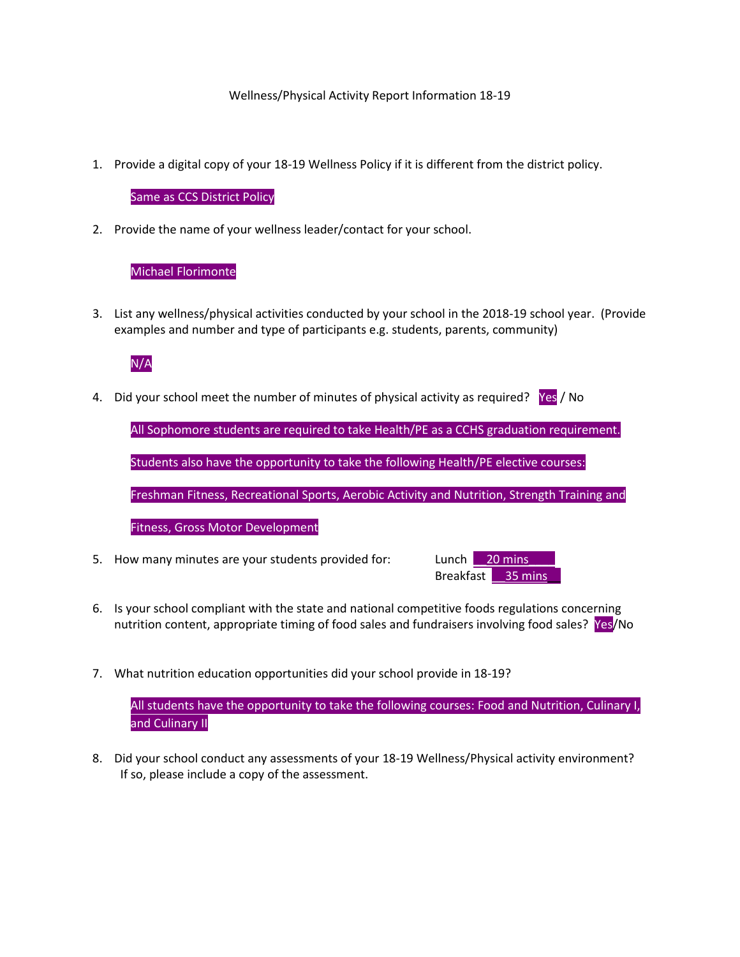### Wellness/Physical Activity Report Information 18-19

1. Provide a digital copy of your 18-19 Wellness Policy if it is different from the district policy.

### Same as CCS District Policy

2. Provide the name of your wellness leader/contact for your school.

## Michael Florimonte

3. List any wellness/physical activities conducted by your school in the 2018-19 school year. (Provide examples and number and type of participants e.g. students, parents, community)

# N/A

4. Did your school meet the number of minutes of physical activity as required? Yes / No

All Sophomore students are required to take Health/PE as a CCHS graduation requirement.

Students also have the opportunity to take the following Health/PE elective courses:

Freshman Fitness, Recreational Sports, Aerobic Activity and Nutrition, Strength Training and

Fitness, Gross Motor Development

5. How many minutes are your students provided for: Lunch 20 mins



- 6. Is your school compliant with the state and national competitive foods regulations concerning nutrition content, appropriate timing of food sales and fundraisers involving food sales? Yes/No
- 7. What nutrition education opportunities did your school provide in 18-19?

All students have the opportunity to take the following courses: Food and Nutrition, Culinary I, and Culinary II

8. Did your school conduct any assessments of your 18-19 Wellness/Physical activity environment? If so, please include a copy of the assessment.